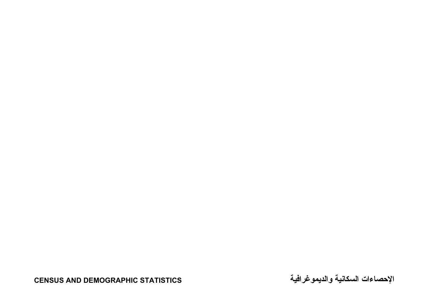**CENSUS AND DEMOGRAPHIC STATISTICS**

**والديموغرافية السكانية الإحصاءات**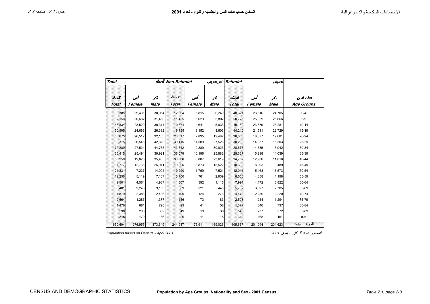| <b>Total</b> |         |         | Non-Bahraini           |        |         | <b>Bahraini</b> |         |         |                   |
|--------------|---------|---------|------------------------|--------|---------|-----------------|---------|---------|-------------------|
| <b>Total</b> | Female  | Male    | الجملة<br><b>Total</b> | Female | Male    | <b>Total</b>    | Female  | Male    | <b>Age Groups</b> |
|              |         |         |                        |        |         |                 |         |         |                   |
| 60,385       | 29,431  | 30,954  | 12,064                 | 5,815  | 6,249   | 48,321          | 23,616  | 24,705  | $0 - 4$           |
| 62,150       | 30,682  | 31,468  | 11,425                 | 5,623  | 5,802   | 50,725          | 25,059  | 25,666  | $5-9$             |
| 58,834       | 28,520  | 30,314  | 9,674                  | 4,641  | 5,033   | 49,160          | 23,879  | 25,281  | $10 - 14$         |
| 50,995       | 24,663  | 26,332  | 6,755                  | 3,152  | 3,603   | 44,240          | 21,511  | 22,729  | 15-19             |
| 58,675       | 26,512  | 32,163  | 20,317                 | 7,835  | 12,482  | 38,358          | 18,677  | 19,681  | $20 - 24$         |
| 69,375       | 26,546  | 42,829  | 39,115                 | 11,589 | 27,526  | 30,260          | 14,957  | 15,303  | 25-29             |
| 72,289       | 27,524  | 44,765  | 43,712                 | 12,889 | 30,823  | 28,577          | 14,635  | 13,942  | 30-34             |
| 65,415       | 25,494  | 39,921  | 36,078                 | 10,196 | 25,882  | 29,337          | 15,298  | 14,039  | 35-39             |
| 55,258       | 19,823  | 35,435  | 30,506                 | 6,887  | 23,619  | 24,752          | 12,936  | 11,816  | 40-44             |
| 37,777       | 12,766  | 25,011  | 19,395                 | 3,873  | 15,522  | 18,382          | 8,893   | 9,489   | 45-49             |
| 21,331       | 7,237   | 14,094  | 9,290                  | 1,769  | 7,521   | 12,041          | 5,468   | 6,573   | 50-54             |
| 12,256       | 5,119   | 7,137   | 3,700                  | 761    | 2,939   | 8,556           | 4,358   | 4,198   | 55-59             |
| 9,501        | 4,564   | 4,937   | 1,507                  | 392    | 1,115   | 7,994           | 4,172   | 3,822   | 60-64             |
| 6,401        | 3,248   | 3,153   | 669                    | 221    | 448     | 5,732           | 3,027   | 2,705   | 65-69             |
| 4,879        | 2,383   | 2,496   | 400                    | 124    | 276     | 4,479           | 2,259   | 2,220   | 70-74             |
| 2,664        | 1,287   | 1,377   | 156                    | 73     | 83      | 2,508           | 1,214   | 1,294   | 75-79             |
| 1,476        | 681     | 795     | 99                     | 41     | 58      | 1,377           | 640     | 737     | 80-84             |
| 598          | 296     | 302     | 49                     | 19     | 30      | 549             | 277     | 272     | 85-89             |
| 345          | 179     | 166     | 26                     | 11     | 15      | 319             | 168     | 151     | $90+$             |
| 650,604      | 276,955 | 373,649 | 244,937                | 75,911 | 169,026 | 405,667         | 201,044 | 204,623 | Total             |

*Population based on Census - April 2001 .* . *2001* - :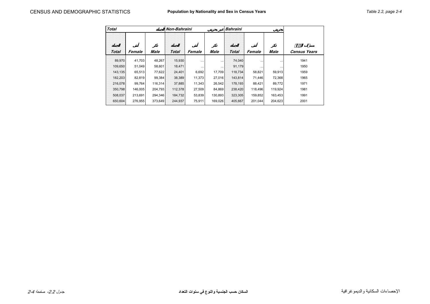| <b>Total</b> |         |         | Non-Bahraini |          |          | <b>Bahraini</b> |          |          |                     |
|--------------|---------|---------|--------------|----------|----------|-----------------|----------|----------|---------------------|
| <b>Total</b> | Female  | Male    | <b>Total</b> | Female   | Male     | <b>Total</b>    | Female   | Male     | <b>Census Years</b> |
| 89.970       | 41,703  | 48,267  | 15,930       | $\cdots$ | $\cdots$ | 74,040          | $\cdots$ | $\cdots$ | 1941                |
| 109,650      | 51,049  | 58,601  | 18,471       | $\cdots$ | $\cdots$ | 91,179          |          | $\cdots$ | 1950                |
| 143,135      | 65,513  | 77,622  | 24,401       | 6,692    | 17,709   | 118,734         | 58,821   | 59,913   | 1959                |
| 182,203      | 82,819  | 99,384  | 38,389       | 11,373   | 27,016   | 143,814         | 71,446   | 72,368   | 1965                |
| 216,078      | 99,764  | 116,314 | 37,885       | 11,343   | 26,542   | 178,193         | 88,421   | 89,772   | 1971                |
| 350,798      | 146,005 | 204,793 | 112,378      | 27,509   | 84,869   | 238,420         | 118,496  | 119,924  | 1981                |
| 508.037      | 213.691 | 294.346 | 184.732      | 53,839   | 130,893  | 323.305         | 159,852  | 163,453  | 1991                |
| 650,604      | 276,955 | 373,649 | 244,937      | 75,911   | 169,026  | 405,667         | 201,044  | 204,623  | 2001                |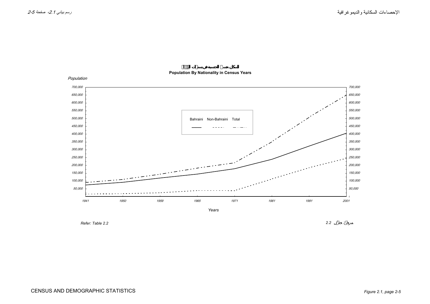

## **Population By Nationality in Census Years**

*Refer: Table 2.2*

*2.2* :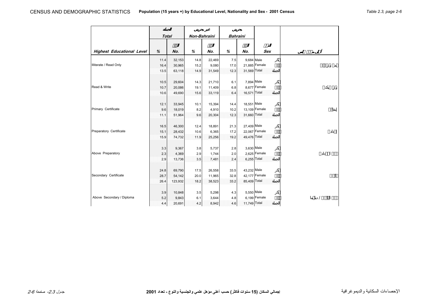|                                  | <b>Total</b> |         | Non-Bahraini |        | <b>Bahraini</b> |              |               |               |
|----------------------------------|--------------|---------|--------------|--------|-----------------|--------------|---------------|---------------|
| <b>Highest Educational Level</b> | %            | No.     | %            | No.    | %               | No.          | <b>Sex</b>    | $\varnothing$ |
|                                  | 11.4         | 32,153  | 14.8         | 22,469 | 7.5             | 9,684 Male   |               |               |
| Illiterate / Read Only           | 16.4         | 30,965  | 15.2         | 9,080  | 17.0            |              | 21,885 Female |               |
|                                  | 13.5         | 63,118  | 14.9         | 31,549 | 12.3            | 31,569 Total |               |               |
|                                  | 10.5         | 29,604  | 14.3         | 21,710 | 6.1             | 7,894 Male   |               |               |
| Read & Write                     | 10.7         | 20,086  | 19.1         | 11,409 | 6.8             |              | 8,677 Female  |               |
|                                  | 10.6         | 49,690  | 15.6         | 33,119 | 6.4             | 16,571 Total |               |               |
|                                  | 12.1         | 33,945  | 10.1         | 15,394 | 14.4            | 18,551 Male  |               |               |
| Primary Certificate              | 9.6          | 18,019  | 8.2          | 4,910  | 10.2            |              | 13,109 Female |               |
|                                  | 11.1         | 51,964  | 9.6          | 20,304 | 12.3            | 31,660 Total |               |               |
|                                  | 16.5         | 46,300  | 12.4         | 18,891 | 21.3            | 27,409 Male  |               |               |
| Preparatory Certificate          | 15.1         | 28,432  | 10.6         | 6,365  | 17.2            |              | 22,067 Female |               |
|                                  | 15.9         | 74,732  | 11.9         | 25,256 | 19.2            | 49,476 Total |               |               |
|                                  | 3.3          | 9,367   | 3.8          | 5,737  | 2.8             | 3,630 Male   |               |               |
| Above Preparatory                | 2.3          | 4,369   | 2.9          | 1,744  | 2.0             |              | 2,625 Female  |               |
|                                  | 2.9          | 13,736  | 3.5          | 7,481  | 2.4             | 6,255 Total  |               |               |
|                                  | 24.8         | 69,790  | 17.5         | 26,558 | 33.5            | 43,232 Male  |               |               |
| Secondary Certificate            | 28.7         | 54,142  | 20.0         | 11,965 | 32.8            |              | 42,177 Female |               |
|                                  | 26.4         | 123,932 | 18.2         | 38,523 | 33.2            | 85,409 Total |               |               |
|                                  | 3.9          | 10,848  | 3.5          | 5,298  | 4.3             | 5,550 Male   |               |               |
| Above Secondary / Diploma        | 5.2          | 9,843   | 6.1          | 3,644  | 4.8             |              | 6,199 Female  |               |
|                                  | 4.4          | 20,691  | 4.2          | 8,942  | 4.6             | 11,749 Total |               |               |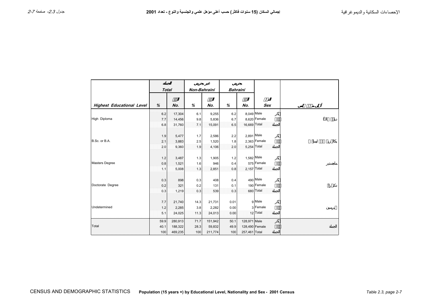|                                  | <b>Total</b> |         |      | Non-Bahraini |      | <b>Bahraini</b> |                |   |
|----------------------------------|--------------|---------|------|--------------|------|-----------------|----------------|---|
| <b>Highest Educational Level</b> | %            | No.     | %    | No.          | $\%$ | No.             | <b>Sex</b>     | Ø |
|                                  | 6.2          | 17,304  | 6.1  | 9,255        | 6.2  | 8,049 Male      |                |   |
| High Diploma                     | 7.7          | 14,456  | 9.8  | 5,836        | 6.7  |                 | 8,620 Female   |   |
|                                  | 6.8          | 31,760  | 7.1  | 15,091       | 6.5  | 16,669 Total    |                |   |
|                                  | 1.9          | 5,477   | 1.7  | 2,586        | 2.2  | 2,891 Male      |                |   |
| B.Sc. or B.A.                    | 2.1          | 3,883   | 2.5  | 1,520        | 1.8  |                 | $2,363$ Female |   |
|                                  | 2.0          | 9,360   | 1.9  | 4,106        | 2.0  |                 | 5,254 Total    |   |
|                                  | 1.2          | 3,487   | 1.3  | 1,905        | 1.2  | 1,582 Male      |                |   |
| <b>Masters Degree</b>            | 0.8          | 1,521   | 1.6  | 946          | 0.4  |                 | 575 Female     |   |
|                                  | 1.1          | 5,008   | 1.3  | 2,851        | 0.8  |                 | $2,157$ Total  |   |
|                                  | 0.3          | 898     | 0.3  | 408          | 0.4  |                 | 490 Male       |   |
| Doctorate Degree                 | 0.2          | 321     | 0.2  | 131          | 0.1  |                 | 190 Female     |   |
|                                  | 0.3          | 1,219   | 0.3  | 539          | 0.3  |                 | 680 Total      |   |
|                                  | 7.7          | 21,740  | 14.3 | 21,731       | 0.01 |                 | g Male         |   |
| Undetermined                     | 1.2          | 2,285   | 3.8  | 2,282        | 0.00 |                 | 3 Female       |   |
|                                  | 5.1          | 24,025  | 11.3 | 24,013       | 0.00 |                 | 12 Total       |   |
|                                  | 59.9         | 280,913 | 71.7 | 151,942      | 50.1 | 128,971 Male    |                |   |
| Total                            | 40.1         | 188,322 | 28.3 | 59,832       | 49.9 | 128,490 Female  |                |   |
|                                  | 100          | 469,235 | 100  | 211,774      | 100  | 257,461 Total   |                |   |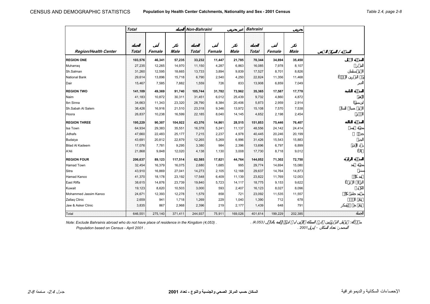|                             | <b>Total</b> |         |             | Non-Bahraini |        |             | <b>Bahraini</b> |         |             |   |
|-----------------------------|--------------|---------|-------------|--------------|--------|-------------|-----------------|---------|-------------|---|
|                             |              |         |             |              |        |             |                 |         |             |   |
|                             |              |         |             |              |        |             |                 |         |             |   |
| <b>Region/Health Center</b> | <b>Total</b> | Female  | <b>Male</b> | <b>Total</b> | Female | <b>Male</b> | <b>Total</b>    | Female  | <b>Male</b> | Ι |
| <b>REGION ONE</b>           | 103,576      | 46,341  | 57,235      | 33,232       | 11,447 | 21,785      | 70,344          | 34,894  | 35,450      |   |
| Muharraq                    | 27,235       | 12,265  | 14,970      | 11,150       | 4,287  | 6,863       | 16,085          | 7,978   | 8,107       |   |
| Sh.Salman                   | 31,260       | 12,595  | 18,665      | 13,733       | 3,894  | 9,839       | 17,527          | 8,701   | 8,826       |   |
| <b>National Bank</b>        | 29,614       | 13,896  | 15,718      | 6,790        | 2,540  | 4,250       | 22,824          | 11,356  | 11,468      |   |
| Dair                        | 15,467       | 7,585   | 7,882       | 1,559        | 726    | 833         | 13,908          | 6,859   | 7,049       |   |
| <b>REGION TWO</b>           | 141,109      | 49,369  | 91,740      | 105,744      | 31,782 | 73,962      | 35,365          | 17,587  | 17,778      |   |
| Naim                        | 41,183       | 10,872  | 30,311      | 31,451       | 6,012  | 25,439      | 9,732           | 4,860   | 4,872       |   |
| Ibn Sinna                   | 34,663       | 11,343  | 23,320      | 28,790       | 8,384  | 20,406      | 5,873           | 2,959   | 2,914       |   |
| Sh.Sabah Al Salem           | 38,426       | 16,916  | 21,510      | 23,318       | 9,346  | 13,972      | 15,108          | 7,570   | 7,538       |   |
| Hoora                       | 26,837       | 10,238  | 16,599      | 22,185       | 8,040  | 14,145      | 4,652           | 2,198   | 2,454       |   |
| <b>REGION THREE</b>         | 195,229      | 90,307  | 104,922     | 43,376       | 14,861 | 28,515      | 151,853         | 75,446  | 76,407      |   |
| Isa Town                    | 64,934       | 29,383  | 35,551      | 16,378       | 5,241  | 11,137      | 48,556          | 24,142  | 24,414      |   |
| Jidhafs                     | 47,660       | 22,483  | 25,177      | 7,215        | 2,237  | 4,978       | 40,445          | 20,246  | 20,199      |   |
| Budaiya                     | 43,691       | 20,812  | 22,879      | 12,265       | 5,269  | 6,996       | 31,426          | 15,543  | 15,883      |   |
| <b>Bilad Al Kadeem</b>      | 17,076       | 7,781   | 9,295       | 3,380        | 984    | 2,396       | 13,696          | 6,797   | 6,899       |   |
| A'Ali                       | 21,868       | 9,848   | 12,020      | 4,138        | 1,130  | 3,008       | 17,730          | 8,718   | 9,012       |   |
| <b>REGION FOUR</b>          | 206,637      | 89,123  | 117,514     | 62,585       | 17,821 | 44,764      | 144,052         | 71,302  | 72,750      |   |
| <b>Hamad Town</b>           | 32,454       | 16,379  | 16,075      | 2,680        | 1,685  | 995         | 29,774          | 14,694  | 15,080      |   |
| Sitra                       | 43,910       | 16,869  | 27,041      | 14,273       | 2,105  | 12,168      | 29,637          | 14,764  | 14,873      |   |
| Hamad Kanoo                 | 41,370       | 18,178  | 23,192      | 17,548       | 6,409  | 11,139      | 23,822          | 11,769  | 12,053      |   |
| East Riffa                  | 38,615       | 14,876  | 23,739      | 19,840       | 5,723  | 14,117      | 18,775          | 9,153   | 9,622       |   |
| Kuwait                      | 19,123       | 8,620   | 10,503      | 3,000        | 593    | 2,407       | 16,123          | 8,027   | 8,096       |   |
| Mohammed Jassim Kanoo       | 24,671       | 12,393  | 12,278      | 1,579        | 858    | 721         | 23,092          | 11,535  | 11,557      |   |
| Zallaq Clinic               | 2,659        | 941     | 1,718       | 1,269        | 229    | 1,040       | 1,390           | 712     | 678         |   |
| Jaw & Asker Clinic          | 3,835        | 867     | 2,968       | 2,396        | 219    | 2,177       | 1,439           | 648     | 791         |   |
| Total                       | 646,551      | 275,140 | 371,411     | 244,937      | 75,911 | 169,026     | 401,614         | 199,229 | 202,385     |   |

*Note: Exclude Bahrainis abroad who do not have place of residence in the Kingdom (4,053)* . (4,053) . (4,053)

 *Population based on Census - April 2001 . . 2001* - :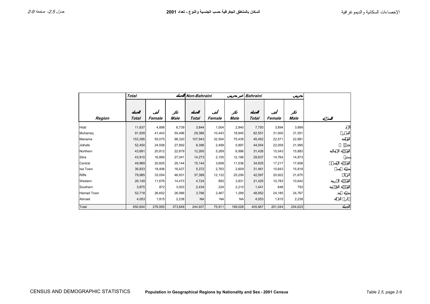|                   | <b>Total</b> |         |         | Non-Bahraini |           |           | <b>Bahraini</b> |         |         |
|-------------------|--------------|---------|---------|--------------|-----------|-----------|-----------------|---------|---------|
| Region            | <b>Total</b> | Female  | Male    | <b>Total</b> | Female    | Male      | <b>Total</b>    | Female  | Male    |
| Hidd              | 11,637       | 4,898   | 6,739   | 3,844        | 1,004     | 2,840     | 7,793           | 3,894   | 3,899   |
| Muharraq          | 91,939       | 41,443  | 50,496  | 29,388       | 10,443    | 18,945    | 62,551          | 31,000  | 31,551  |
| Manama            | 153,395      | 55,075  | 98,320  | 107,943      | 32,504    | 75,439    | 45,452          | 22,571  | 22,881  |
| Jidhafs           | 52,450       | 24,558  | 27,892  | 8,396        | 2,499     | 5,897     | 44,054          | 22,059  | 21,995  |
| Northern          | 43,691       | 20,812  | 22,879  | 12,265       | 5,269     | 6,996     | 31,426          | 15,543  | 15,883  |
| Sitra             | 43,910       | 16,869  | 27,041  | 14,273       | 2,105     | 12,168    | 29,637          | 14,764  | 14,873  |
| Central           | 49,969       | 20,825  | 29,144  | 15,144       | 3,608     | 11,536    | 34,825          | 17,217  | 17,608  |
| Isa Town          | 36,833       | 18,406  | 18,427  | 5,372        | 2,763     | 2,609     | 31,461          | 15,643  | 15,818  |
| Riffa             | 79,985       | 33,054  | 46,931  | 37,388       | 12,132    | 25,256    | 42,597          | 20,922  | 21,675  |
| Western           | 26,149       | 11,676  | 14,473  | 4,724        | 893       | 3,831     | 21,425          | 10,783  | 10,642  |
| Southern          | 3,875        | 872     | 3,003   | 2,434        | 224       | 2,210     | 1,441           | 648     | 793     |
| <b>Hamad Town</b> | 52,718       | 26,652  | 26,066  | 3,766        | 2,467     | 1,299     | 48,952          | 24,185  | 24,767  |
| Abroad            | 4,053        | 1,815   | 2,238   | <b>NA</b>    | <b>NA</b> | <b>NA</b> | 4,053           | 1,815   | 2,238   |
| Total             | 650,604      | 276,955 | 373,649 | 244,937      | 75,911    | 169,026   | 405,667         | 201,044 | 204,623 |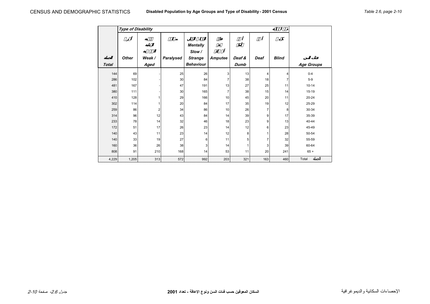|              | <b>Type of Disability</b> |                         |                  |                  |                |             |             |                |                   |
|--------------|---------------------------|-------------------------|------------------|------------------|----------------|-------------|-------------|----------------|-------------------|
|              |                           |                         | Ø                | <b>Mentally</b>  |                |             |             |                |                   |
|              |                           |                         |                  | Slow/            |                |             |             |                |                   |
|              | <b>Other</b>              | Weak /                  | <b>Paralysed</b> | <b>Strange</b>   | <b>Amputee</b> | Deaf &      | <b>Deaf</b> | <b>Blind</b>   |                   |
| <b>Total</b> |                           | Aged                    |                  | <b>Behaviour</b> |                | <b>Dumb</b> |             |                | <b>Age Groups</b> |
| 144          | 69                        |                         | 25               | 26               | 3              | 13          | 4           | $\overline{4}$ | $0 - 4$           |
| 286          | 102                       |                         | 30               | 84               | 7              | 38          | 18          | $\overline{7}$ | $5-9$             |
| 481          | 167                       |                         | 47               | 191              | 13             | 27          | 25          | 11             | $10 - 14$         |
| 380          | 111                       |                         | 30               | 165              | 7              | 38          | 15          | 14             | $15 - 19$         |
| 410          | 128                       | 1                       | 29               | 166              | 10             | 45          | 20          | 11             | $20 - 24$         |
| 302          | 114                       |                         | 20               | 84               | 17             | 35          | 19          | 12             | 25-29             |
| 259          | 86                        | $\overline{\mathbf{c}}$ | 34               | 86               | 10             | 26          | 7           | 8              | 30-34             |
| 314          | 96                        | 12                      | 43               | 84               | 14             | 39          | 9           | 17             | 35-39             |
| 233          | 78                        | 14                      | 32               | 46               | 18             | 23          | 9           | 13             | 40-44             |
| 172          | 51                        | 17                      | 26               | 23               | 14             | 12          | 6           | 23             | 45-49             |
| 140          | 43                        | 11                      | 23               | 14               | 12             | 8           |             | 28             | 50-54             |
| 140          | 33                        | 19                      | 27               | 6                | 11             | 5           | 7           | 32             | 55-59             |
| 160          | 36                        | 26                      | 38               | 3                | 14             | 1           | 3           | 39             | 60-64             |
| 808          | 91                        | 210                     | 168              | 14               | 53             | 11          | 20          | 241            | $65 +$            |
| 4,229        | 1,205                     | 313                     | 572              | 992              | 203            | 321         | 163         | 460            | Total             |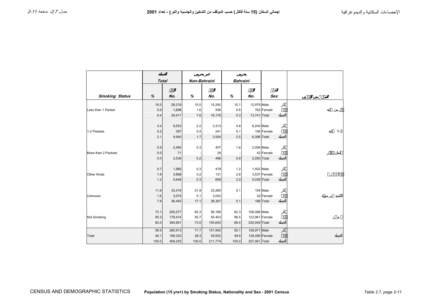$\Gamma$ 

|                       | <b>Total</b> |         | Non-Bahraini |         | <b>Bahraini</b> |               |                |         |
|-----------------------|--------------|---------|--------------|---------|-----------------|---------------|----------------|---------|
| <b>Smoking Status</b> | %            | No.     | %            | No.     | %               | No.           | <b>Sex</b>     |         |
|                       | 10.0         | 28,219  | 10.0         | 15,240  | 10.1            | 12,979 Male   |                |         |
| Less than 1 Packet    | 0.9          | 1,698   | 1.6          | 936     | 0.6             |               | 762 Female     |         |
|                       | 6.4          | 29,917  | 7.6          | 16,176  | 5.3             | 13,741 Total  |                |         |
|                       | 3.4          | 9,553   | 2.2          | 3,313   | 4.8             |               | 6,240 Male     |         |
| 1-2 Packets           | 0.2          | 397     | 0.4          | 241     | 0.1             |               | 156 Female     | $1 - 2$ |
|                       | 2.1          | 9,950   | 1.7          | 3,554   | 2.5             |               | 6,396 Total    |         |
|                       | 0.9          | 2,465   | 0.3          | 457     | 1.6             |               | 2,008 Male     |         |
| More than 2 Packets   | 0.0          | 71      |              | 29      |                 |               | 42 Female      |         |
|                       | 0.5          | 2,536   | 0.2          | 486     | 0.8             |               | 2,050 Total    |         |
|                       | 0.7          | 1,980   | 0.3          | 478     | 1.2             | 1,502 Male    |                |         |
| <b>Other Kinds</b>    | 1.9          | 3,668   | 0.2          | 131     | 2.8             |               | 3,537 Female   |         |
|                       | 1.2          | 5,648   | 0.3          | 609     | 2.0             |               | 5,039 Total    |         |
|                       | 11.9         | 33,419  | 21.9         | 33,265  | 0.1             |               | 154 Male       |         |
| Unknown               | 1.6          | 3,074   | 5.1          | 3,042   |                 |               | 32 Female      |         |
|                       | 7.8          | 36,493  | 17.1         | 36,307  | 0.1             |               | 186 Total      |         |
|                       | 73.1         | 205,277 | 65.3         | 99,189  | 82.3            | 106,088 Male  |                |         |
| Not Smoking           | 95.3         | 179,414 | 92.7         | 55,453  | 96.5            |               | 123,961 Female |         |
|                       | 82.0         | 384,691 | 73.0         | 154,642 | 89.4            | 230,049 Total |                |         |
|                       | 59.9         | 280,913 | 71.7         | 151,942 | 50.1            | 128,971 Male  |                |         |
| Total                 | 40.1         | 188,322 | 28.3         | 59,832  | 49.9            |               | 128,490 Female |         |
|                       | 100.0        | 469,235 | 100.0        | 211,774 | 100.0           | 257,461 Total |                |         |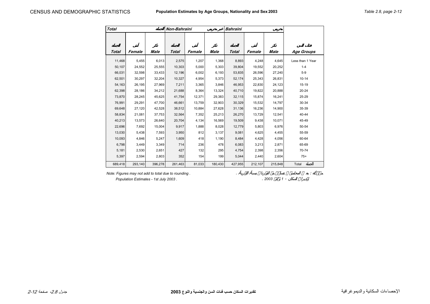| <b>Total</b> |         |         | Non-Bahraini |        |         | <b>Bahraini</b> |         |         |                   |
|--------------|---------|---------|--------------|--------|---------|-----------------|---------|---------|-------------------|
| <b>Total</b> | Female  | Male    | <b>Total</b> | Female | Male    | <b>Total</b>    | Female  | Male    | <b>Age Groups</b> |
| 11,468       | 5,455   | 6,013   | 2,575        | 1,207  | 1,368   | 8,893           | 4,248   | 4,645   | Less than 1 Year  |
| 50,107       | 24,552  | 25,555  | 10,303       | 5,000  | 5,303   | 39,804          | 19,552  | 20,252  | $1 - 4$           |
| 66,031       | 32,598  | 33,433  | 12,196       | 6,002  | 6,193   | 53,835          | 26,596  | 27,240  | $5 - 9$           |
| 62,501       | 30,297  | 32,204  | 10,327       | 4,954  | 5,373   | 52,174          | 25,343  | 26,831  | $10 - 14$         |
| 54,163       | 26,195  | 27,969  | 7,211        | 3,365  | 3,846   | 46,953          | 22,830  | 24,123  | 15-19             |
| 62,398       | 28,186  | 34,212  | 21,688       | 8,364  | 13,324  | 40,710          | 19,822  | 20,888  | $20 - 24$         |
| 73,870       | 28,245  | 45,625  | 41,754       | 12,371 | 29,383  | 32,115          | 15,874  | 16,241  | 25-29             |
| 76,991       | 29,291  | 47,700  | 46,661       | 13,759 | 32,903  | 30,329          | 15,532  | 14,797  | 30-34             |
| 69,648       | 27,120  | 42,528  | 38,512       | 10,884 | 27,628  | 31,136          | 16,236  | 14,900  | 35-39             |
| 58,834       | 21,081  | 37,753  | 32,564       | 7,352  | 25,213  | 26,270          | 13,729  | 12,541  | 40-44             |
| 40,213       | 13,573  | 26,640  | 20,704       | 4,134  | 16,569  | 19,509          | 9,438   | 10,071  | 45-49             |
| 22,696       | 7,692   | 15,004  | 9,917        | 1,888  | 8,028   | 12,779          | 5,803   | 6,976   | 50-54             |
| 13,030       | 5,438   | 7,593   | 3,950        | 812    | 3,137   | 9,081           | 4,625   | 4,455   | 55-59             |
| 10,093       | 4,846   | 5,247   | 1,609        | 418    | 1,190   | 8,484           | 4,428   | 4,056   | 60-64             |
| 6,798        | 3,449   | 3,349   | 714          | 236    | 478     | 6,083           | 3,213   | 2,871   | 65-69             |
| 5,181        | 2,530   | 2,651   | 427          | 132    | 295     | 4,754           | 2,398   | 2,356   | 70-74             |
| 5,397        | 2,594   | 2,803   | 352          | 154    | 199     | 5,044           | 2,440   | 2,604   | $75+$             |
| 689,418      | 293,140 | 396,278 | 261,463      | 81,033 | 180,430 | 427,955         | 212,107 | 215,848 | Total             |

*Note: Figures may not add to total due to rounding .* . :

 *Population Estimates - 1st July 2003 .* . *2003 1* -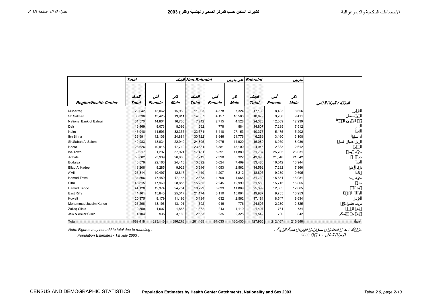|                             | <b>Total</b> |         |         |              | Non-Bahraini |             | <b>Bahraini</b> |         |             |  |
|-----------------------------|--------------|---------|---------|--------------|--------------|-------------|-----------------|---------|-------------|--|
|                             |              |         |         |              |              |             |                 |         |             |  |
| <b>Region/Health Center</b> | <b>Total</b> | Female  | Male    | <b>Total</b> | Female       | <b>Male</b> | Total           | Female  | <b>Male</b> |  |
| Muharrag                    | 29,042       | 13,062  | 15,980  | 11,903       | 4,578        | 7,324       | 17,139          | 8,483   | 8,656       |  |
| Sh.Salman                   | 33,336       | 13,425  | 19,911  | 14,657       | 4,157        | 10,500      | 18,679          | 9,268   | 9,411       |  |
| National Bank of Bahrain    | 31,570       | 14,804  | 16,766  | 7,242        | 2,715        | 4,528       | 24,328          | 12,089  | 12,239      |  |
| Dair                        | 16,469       | 8.073   | 8,396   | 1,662        | 778          | 884         | 14.807          | 7.295   | 7,512       |  |
| Naim                        | 43,948       | 11,593  | 32,355  | 33,571       | 6,418        | 27,153      | 10,377          | 5,175   | 5,202       |  |
| Ibn Sinna                   | 36,991       | 12,106  | 24,884  | 30,722       | 8,946        | 21,776      | 6,269           | 3,160   | 3,108       |  |
| Sh.Sabah Al Salem           | 40,983       | 18,034  | 22,949  | 24,895       | 9,975        | 14,920      | 16,089          | 8.059   | 8,030       |  |
| Hoora                       | 28,626       | 10,915  | 17,712  | 23,681       | 8,581        | 15.100      | 4,945           | 2,333   | 2,612       |  |
| Isa Town                    | 69,217       | 31,297  | 37,921  | 17,481       | 5,591        | 11,889      | 51,737          | 25,705  | 26,031      |  |
| Jidhafs                     | 50,802       | 23,939  | 26,863  | 7,712        | 2,390        | 5,322       | 43,090          | 21,548  | 21,542      |  |
| Budaiya                     | 46,579       | 22,166  | 24,413  | 13,092       | 5,624        | 7,469       | 33,486          | 16,542  | 16,944      |  |
| <b>Bilad Al Kadeem</b>      | 18,208       | 8,285   | 9,923   | 3,616        | 1,053        | 2,562       | 14,592          | 7,232   | 7,360       |  |
| A'Ali                       | 23,314       | 10,497  | 12,817  | 4,419        | 1,207        | 3,212       | 18,895          | 9,289   | 9,605       |  |
| Hamad Town                  | 34,596       | 17,450  | 17,145  | 2,863        | 1,799        | 1,065       | 31,732          | 15,651  | 16,081      |  |
| Sitra                       | 46,815       | 17,960  | 28,855  | 15,235       | 2,245        | 12,990      | 31,580          | 15,715  | 15,865      |  |
| Hamad Kanoo                 | 44,128       | 19,374  | 24,754  | 18,729       | 6,839        | 11,889      | 25,399          | 12,535  | 12,865      |  |
| East Riffa                  | 41,161       | 15,845  | 25,317  | 21,174       | 6,110        | 15,064      | 19,987          | 9.735   | 10,253      |  |
| Kuwait                      | 20,375       | 9.179   | 11,196  | 3.194        | 632          | 2,562       | 17,181          | 8,547   | 8,634       |  |
| Mohammad Jassim Kanoo       | 26,296       | 13,196  | 13,101  | 1,692        | 916          | 776         | 24,605          | 12,280  | 12,325      |  |
| Zallaq Clinic               | 2,859        | 1,007   | 1,853   | 1,362        | 243          | 1.119       | 1,497           | 764     | 734         |  |
| Jaw & Asker Clinic          | 4,104        | 935     | 3,169   | 2,563        | 235          | 2,328       | 1,542           | 700     | 842         |  |
| Total                       | 689,418      | 293,140 | 396,278 | 261,463      | 81,033       | 180,430     | 427,955         | 212,107 | 215,848     |  |

*Note: Figures may not add to total due to rounding .* . :

 *Population Estimates - 1st July 2003 .* . *2003 1* -